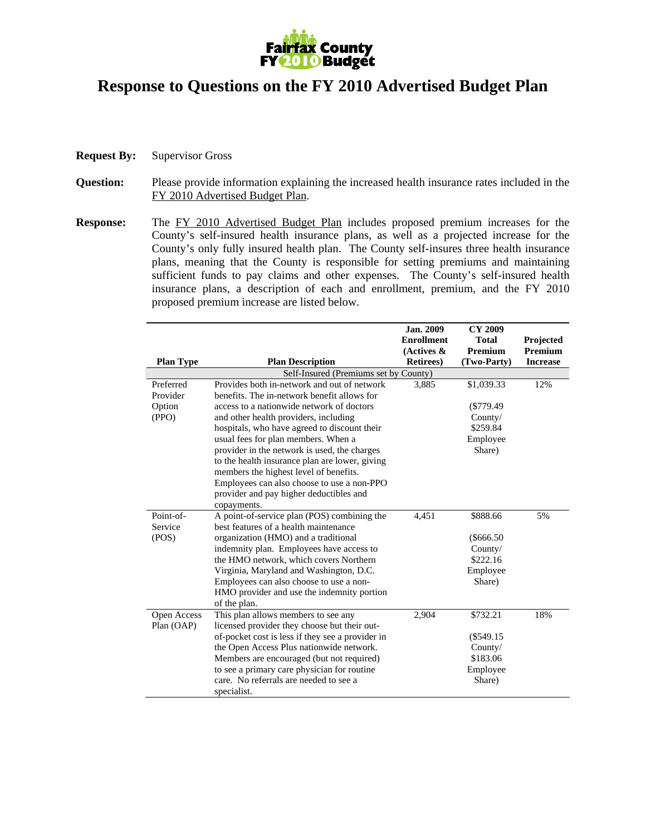

## **Response to Questions on the FY 2010 Advertised Budget Plan**

- **Request By:** Supervisor Gross
- **Question:** Please provide information explaining the increased health insurance rates included in the FY 2010 Advertised Budget Plan.
- **Response:** The FY 2010 Advertised Budget Plan includes proposed premium increases for the County's self-insured health insurance plans, as well as a projected increase for the County's only fully insured health plan. The County self-insures three health insurance plans, meaning that the County is responsible for setting premiums and maintaining sufficient funds to pay claims and other expenses. The County's self-insured health insurance plans, a description of each and enrollment, premium, and the FY 2010 proposed premium increase are listed below.

|                                       |                                                  | Jan. 2009<br><b>Enrollment</b> | <b>CY 2009</b><br><b>Total</b> | Projected       |  |  |
|---------------------------------------|--------------------------------------------------|--------------------------------|--------------------------------|-----------------|--|--|
|                                       |                                                  | (Actives $\&$                  | <b>Premium</b>                 | <b>Premium</b>  |  |  |
| <b>Plan Type</b>                      | <b>Plan Description</b>                          | <b>Retirees</b> )              | (Two-Party)                    | <b>Increase</b> |  |  |
| Self-Insured (Premiums set by County) |                                                  |                                |                                |                 |  |  |
| Preferred                             | Provides both in-network and out of network      | 3,885                          | \$1,039.33                     | 12%             |  |  |
| Provider                              | benefits. The in-network benefit allows for      |                                |                                |                 |  |  |
| Option                                | access to a nationwide network of doctors        |                                | $(\$779.49$                    |                 |  |  |
| (PPO)                                 | and other health providers, including            |                                | Country/                       |                 |  |  |
|                                       | hospitals, who have agreed to discount their     |                                | \$259.84                       |                 |  |  |
|                                       | usual fees for plan members. When a              |                                | Employee                       |                 |  |  |
|                                       | provider in the network is used, the charges     |                                | Share)                         |                 |  |  |
|                                       | to the health insurance plan are lower, giving   |                                |                                |                 |  |  |
|                                       | members the highest level of benefits.           |                                |                                |                 |  |  |
|                                       | Employees can also choose to use a non-PPO       |                                |                                |                 |  |  |
|                                       | provider and pay higher deductibles and          |                                |                                |                 |  |  |
|                                       | copayments.                                      |                                |                                |                 |  |  |
| Point-of-                             | A point-of-service plan (POS) combining the      | 4,451                          | \$888.66                       | 5%              |  |  |
| Service                               | best features of a health maintenance            |                                |                                |                 |  |  |
| (POS)                                 | organization (HMO) and a traditional             |                                | $(\$666.50$                    |                 |  |  |
|                                       | indemnity plan. Employees have access to         |                                | County/                        |                 |  |  |
|                                       | the HMO network, which covers Northern           |                                | \$222.16                       |                 |  |  |
|                                       | Virginia, Maryland and Washington, D.C.          |                                | Employee                       |                 |  |  |
|                                       | Employees can also choose to use a non-          |                                | Share)                         |                 |  |  |
|                                       | HMO provider and use the indemnity portion       |                                |                                |                 |  |  |
|                                       | of the plan.                                     |                                |                                |                 |  |  |
| Open Access                           | This plan allows members to see any              | 2,904                          | \$732.21                       | 18%             |  |  |
| Plan (OAP)                            | licensed provider they choose but their out-     |                                |                                |                 |  |  |
|                                       | of-pocket cost is less if they see a provider in |                                | $(\$549.15$                    |                 |  |  |
|                                       | the Open Access Plus nationwide network.         |                                | Country/                       |                 |  |  |
|                                       | Members are encouraged (but not required)        |                                | \$183.06                       |                 |  |  |
|                                       | to see a primary care physician for routine      |                                | Employee                       |                 |  |  |
|                                       | care. No referrals are needed to see a           |                                | Share)                         |                 |  |  |
|                                       | specialist.                                      |                                |                                |                 |  |  |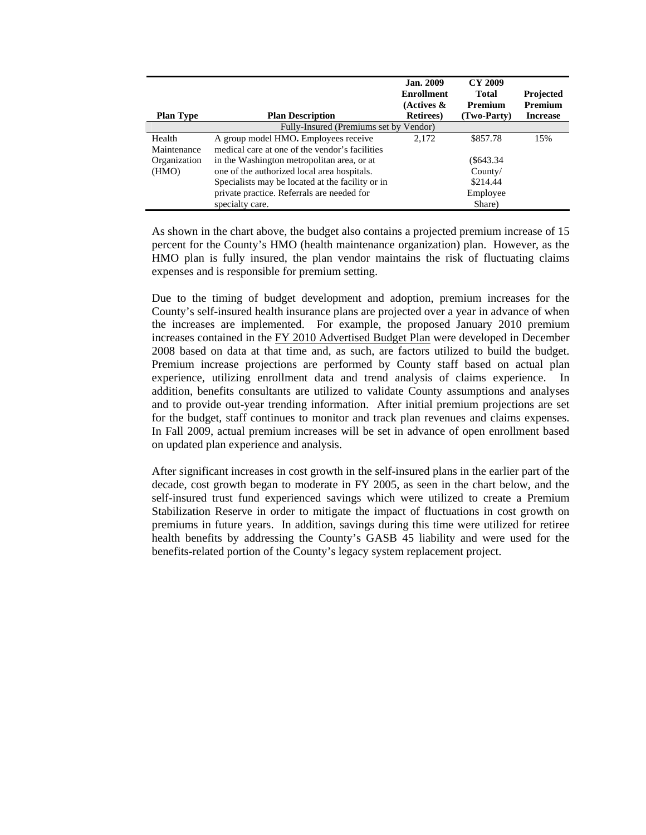| <b>Plan Type</b>                       | <b>Plan Description</b>                          | <b>Jan. 2009</b><br><b>Enrollment</b><br>(Actives &<br><b>Retirees</b> ) | CY 2009<br><b>Total</b><br><b>Premium</b><br>(Two-Party) | Projected<br><b>Premium</b><br><b>Increase</b> |  |  |
|----------------------------------------|--------------------------------------------------|--------------------------------------------------------------------------|----------------------------------------------------------|------------------------------------------------|--|--|
| Fully-Insured (Premiums set by Vendor) |                                                  |                                                                          |                                                          |                                                |  |  |
| Health                                 | A group model HMO. Employees receive             | 2.172                                                                    | \$857.78                                                 | 15%                                            |  |  |
| Maintenance                            | medical care at one of the vendor's facilities   |                                                                          |                                                          |                                                |  |  |
| Organization                           | in the Washington metropolitan area, or at       |                                                                          | $(\$643.34$                                              |                                                |  |  |
| (HMO)                                  | one of the authorized local area hospitals.      |                                                                          | Country/                                                 |                                                |  |  |
|                                        | Specialists may be located at the facility or in |                                                                          | \$214.44                                                 |                                                |  |  |
|                                        | private practice. Referrals are needed for       |                                                                          | Employee                                                 |                                                |  |  |
|                                        | specialty care.                                  |                                                                          | Share)                                                   |                                                |  |  |

 As shown in the chart above, the budget also contains a projected premium increase of 15 percent for the County's HMO (health maintenance organization) plan. However, as the HMO plan is fully insured, the plan vendor maintains the risk of fluctuating claims expenses and is responsible for premium setting.

Due to the timing of budget development and adoption, premium increases for the County's self-insured health insurance plans are projected over a year in advance of when the increases are implemented. For example, the proposed January 2010 premium increases contained in the FY 2010 Advertised Budget Plan were developed in December 2008 based on data at that time and, as such, are factors utilized to build the budget. Premium increase projections are performed by County staff based on actual plan experience, utilizing enrollment data and trend analysis of claims experience. In addition, benefits consultants are utilized to validate County assumptions and analyses and to provide out-year trending information. After initial premium projections are set for the budget, staff continues to monitor and track plan revenues and claims expenses. In Fall 2009, actual premium increases will be set in advance of open enrollment based on updated plan experience and analysis.

After significant increases in cost growth in the self-insured plans in the earlier part of the decade, cost growth began to moderate in FY 2005, as seen in the chart below, and the self-insured trust fund experienced savings which were utilized to create a Premium Stabilization Reserve in order to mitigate the impact of fluctuations in cost growth on premiums in future years. In addition, savings during this time were utilized for retiree health benefits by addressing the County's GASB 45 liability and were used for the benefits-related portion of the County's legacy system replacement project.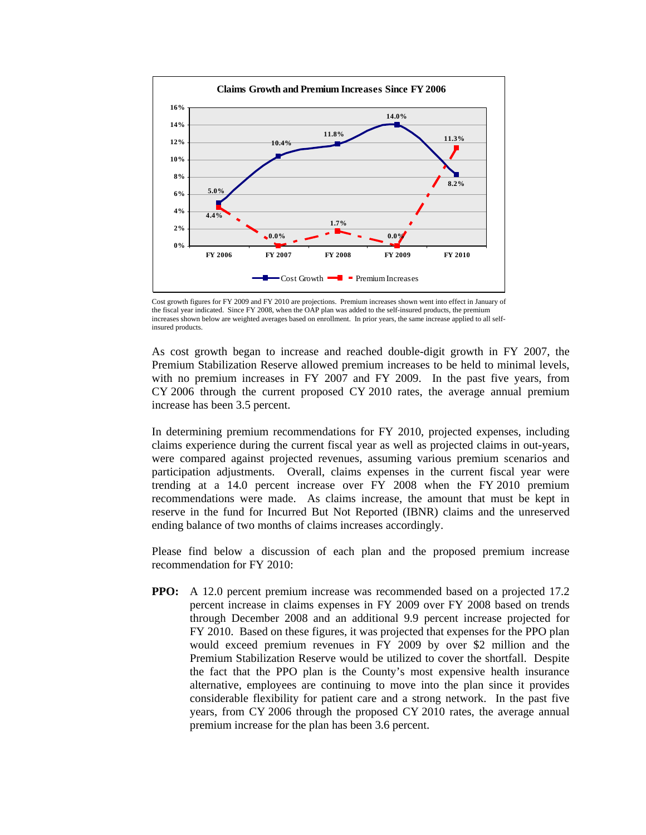

Cost growth figures for FY 2009 and FY 2010 are projections. Premium increases shown went into effect in January of the fiscal year indicated. Since FY 2008, when the OAP plan was added to the self-insured products, the premium increases shown below are weighted averages based on enrollment. In prior years, the same increase applied to all selfinsured products.

As cost growth began to increase and reached double-digit growth in FY 2007, the Premium Stabilization Reserve allowed premium increases to be held to minimal levels, with no premium increases in FY 2007 and FY 2009. In the past five years, from CY 2006 through the current proposed CY 2010 rates, the average annual premium increase has been 3.5 percent.

In determining premium recommendations for FY 2010, projected expenses, including claims experience during the current fiscal year as well as projected claims in out-years, were compared against projected revenues, assuming various premium scenarios and participation adjustments. Overall, claims expenses in the current fiscal year were trending at a 14.0 percent increase over FY 2008 when the FY 2010 premium recommendations were made. As claims increase, the amount that must be kept in reserve in the fund for Incurred But Not Reported (IBNR) claims and the unreserved ending balance of two months of claims increases accordingly.

Please find below a discussion of each plan and the proposed premium increase recommendation for FY 2010:

**PPO:** A 12.0 percent premium increase was recommended based on a projected 17.2 percent increase in claims expenses in FY 2009 over FY 2008 based on trends through December 2008 and an additional 9.9 percent increase projected for FY 2010. Based on these figures, it was projected that expenses for the PPO plan would exceed premium revenues in FY 2009 by over \$2 million and the Premium Stabilization Reserve would be utilized to cover the shortfall. Despite the fact that the PPO plan is the County's most expensive health insurance alternative, employees are continuing to move into the plan since it provides considerable flexibility for patient care and a strong network. In the past five years, from CY 2006 through the proposed CY 2010 rates, the average annual premium increase for the plan has been 3.6 percent.